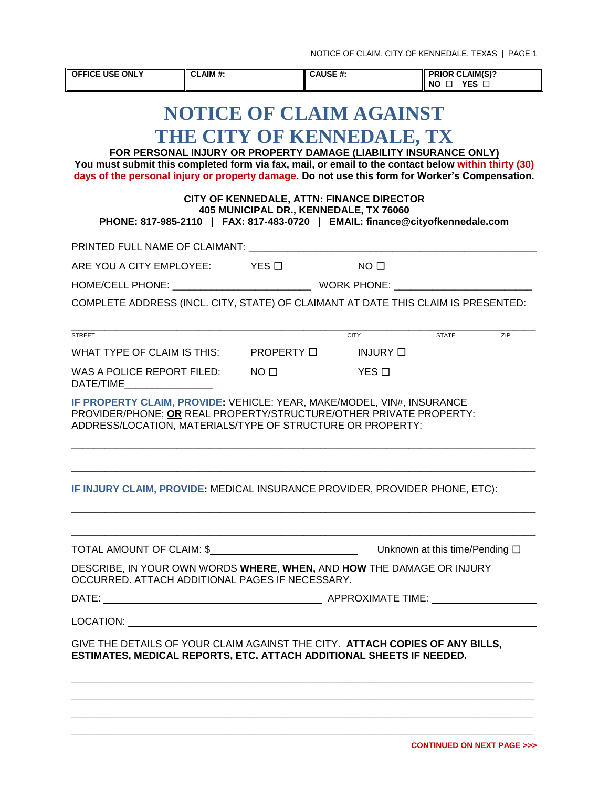| <b>OFFICE USE ONLY</b>                                                                                                                                                                                                                                                                                                                                                                                                                                                                                            | CLAIM#: |  | <b>CAUSE#:</b>   |                 | <b>PRIOR CLAIM(S)?</b><br>NO O YES O |     |  |  |
|-------------------------------------------------------------------------------------------------------------------------------------------------------------------------------------------------------------------------------------------------------------------------------------------------------------------------------------------------------------------------------------------------------------------------------------------------------------------------------------------------------------------|---------|--|------------------|-----------------|--------------------------------------|-----|--|--|
| <b>NOTICE OF CLAIM AGAINST</b><br>THE CITY OF KENNEDALE, TX<br>FOR PERSONAL INJURY OR PROPERTY DAMAGE (LIABILITY INSURANCE ONLY)<br>You must submit this completed form via fax, mail, or email to the contact below within thirty (30)<br>days of the personal injury or property damage. Do not use this form for Worker's Compensation.<br>CITY OF KENNEDALE, ATTN: FINANCE DIRECTOR<br>405 MUNICIPAL DR., KENNEDALE, TX 76060<br>PHONE: 817-985-2110   FAX: 817-483-0720   EMAIL: finance@cityofkennedale.com |         |  |                  |                 |                                      |     |  |  |
|                                                                                                                                                                                                                                                                                                                                                                                                                                                                                                                   |         |  |                  |                 |                                      |     |  |  |
| ARE YOU A CITY EMPLOYEE: YES □                                                                                                                                                                                                                                                                                                                                                                                                                                                                                    |         |  | $\Box$ NO $\Box$ |                 |                                      |     |  |  |
|                                                                                                                                                                                                                                                                                                                                                                                                                                                                                                                   |         |  |                  |                 |                                      |     |  |  |
| COMPLETE ADDRESS (INCL. CITY, STATE) OF CLAIMANT AT DATE THIS CLAIM IS PRESENTED:                                                                                                                                                                                                                                                                                                                                                                                                                                 |         |  |                  |                 |                                      |     |  |  |
| <b>STREET</b>                                                                                                                                                                                                                                                                                                                                                                                                                                                                                                     |         |  | <b>CITY</b>      |                 | <b>STATE</b>                         | ZIP |  |  |
| WHAT TYPE OF CLAIM IS THIS: $\qquad$ PROPERTY $\Box$                                                                                                                                                                                                                                                                                                                                                                                                                                                              |         |  |                  | <b>INJURY</b> □ |                                      |     |  |  |
| WAS A POLICE REPORT FILED: NO $\Box$<br>DATE/TIME                                                                                                                                                                                                                                                                                                                                                                                                                                                                 |         |  | YES □            |                 |                                      |     |  |  |
| IF PROPERTY CLAIM, PROVIDE: VEHICLE: YEAR, MAKE/MODEL, VIN#, INSURANCE<br>PROVIDER/PHONE; OR REAL PROPERTY/STRUCTURE/OTHER PRIVATE PROPERTY:<br>ADDRESS/LOCATION, MATERIALS/TYPE OF STRUCTURE OR PROPERTY:                                                                                                                                                                                                                                                                                                        |         |  |                  |                 |                                      |     |  |  |
| IF INJURY CLAIM, PROVIDE: MEDICAL INSURANCE PROVIDER, PROVIDER PHONE, ETC):                                                                                                                                                                                                                                                                                                                                                                                                                                       |         |  |                  |                 |                                      |     |  |  |
| TOTAL AMOUNT OF CLAIM: \$                                                                                                                                                                                                                                                                                                                                                                                                                                                                                         |         |  |                  |                 | Unknown at this time/Pending □       |     |  |  |
| DESCRIBE, IN YOUR OWN WORDS WHERE, WHEN, AND HOW THE DAMAGE OR INJURY<br>OCCURRED. ATTACH ADDITIONAL PAGES IF NECESSARY.                                                                                                                                                                                                                                                                                                                                                                                          |         |  |                  |                 |                                      |     |  |  |
|                                                                                                                                                                                                                                                                                                                                                                                                                                                                                                                   |         |  |                  |                 |                                      |     |  |  |
|                                                                                                                                                                                                                                                                                                                                                                                                                                                                                                                   |         |  |                  |                 |                                      |     |  |  |
| GIVE THE DETAILS OF YOUR CLAIM AGAINST THE CITY. ATTACH COPIES OF ANY BILLS,<br>ESTIMATES, MEDICAL REPORTS, ETC. ATTACH ADDITIONAL SHEETS IF NEEDED.                                                                                                                                                                                                                                                                                                                                                              |         |  |                  |                 |                                      |     |  |  |
|                                                                                                                                                                                                                                                                                                                                                                                                                                                                                                                   |         |  |                  |                 |                                      |     |  |  |